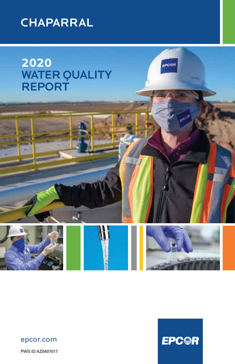

**2020** WATER QUALITY REPORT



#### epcor.com

PWS ID AZ0407017



epcen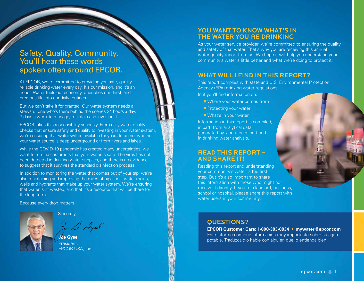# Safety. Quality. Community. You'll hear these words spoken often around EPCOR.

At EPCOR, we're committed to providing you safe, quality, reliable drinking water every day. It's our mission, and it's an honor. Water fuels our economy, quenches our thirst, and breathes life into our daily routines.

But we can't take it for granted. Our water system needs a steward, one who's there behind the scenes 24 hours a day, 7 days a week to manage, maintain and invest in it.

EPCOR takes this responsibility seriously. From daily water quality checks that ensure safety and quality to investing in your water system, we're ensuring that water will be available for years to come, whether your water source is deep underground or from rivers and lakes.

While the COVID-19 pandemic has created many uncertainties, we want to remind customers that your water is safe. The virus has not been detected in drinking water supplies, and there is no evidence to suggest that it survives the standard disinfection process.

In addition to monitoring the water that comes out of your tap, we're also maintaining and improving the miles of pipelines, water mains, wells and hydrants that make up your water system. We're ensuring that water isn't wasted, and that it's a resource that will be there for the long term.

Because every drop matters.



#### Sincerely,

. D. Apel

**Joe Gysel** President, EPCOR USA, Inc.

## YOU WANT TO KNOW WHAT'S IN THE WATER YOU'RE DRINKING

As your water service provider, we're committed to ensuring the quality and safety of that water. That's why you are receiving this annual water quality report from us. We hope it will help you understand your community's water a little better and what we're doing to protect it.

### WHAT WILL I FIND IN THIS REPORT?

This report complies with state and U.S. Environmental Protection Agency (EPA) drinking water regulations.

In it you'll find information on:

- Where your water comes from
- **Protecting your water**
- What's in your water

Information in this report is compiled, in part, from analytical data generated by laboratories certified in drinking water analysis.

### READ THIS REPORT – AND SHARE IT!

Reading this report and understanding your community's water is the first step. But it's also important to share this information with those who might not receive it directly. If you're a landlord, business, school or hospital, please share this report with water users in your community.

### QUESTIONS?

**EPCOR Customer Care: 1-800-383-0834 • mywater@epcor.com** Este informe contiene información muy importante sobre su agua potable. Tradúzcalo o hable con alguien que lo entienda bien.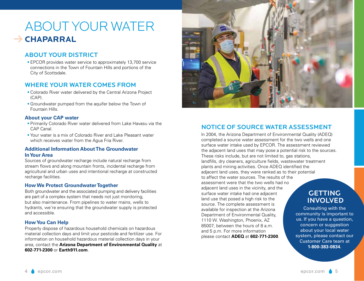# ABOUT YOUR WATER **CHaparral** G

# ABOUT YOUR DISTRICT

**•** EPCOR provides water service to approximately 13,700 service connections in the Town of Fountain Hills and portions of the City of Scottsdale.

# WHERE YOUR WATER COMES FROM

- **•** Colorado River water delivered by the Central Arizona Project (CAP).
- **•** Groundwater pumped from the aquifer below the Town of Fountain Hills.

#### **About your CAP water**

- **•** Primarily Colorado River water delivered from Lake Havasu via the CAP Canal.
- **•** Your water is a mix of Colorado River and Lake Pleasant water which receives water from the Agua Fria River.

#### **Additional Information About The Groundwater In Your Area**

Sources of groundwater recharge include natural recharge from stream flows and along mountain fronts, incidental recharge from agricultural and urban uses and intentional recharge at constructed recharge facilities.

#### **How We Protect Groundwater Together**

Both groundwater and the associated pumping and delivery facilities are part of a complex system that needs not just monitoring, but also maintenance. From pipelines to water mains, wells to hydrants, we're ensuring that the groundwater supply is protected and accessible.

#### **How You Can Help**

Properly dispose of hazardous household chemicals on hazardous material collection days and limit your pesticide and fertilizer use. For information on household hazardous material collection days in your area, contact the **Arizona Department of Environmental Quality** at **602-771-2300** or **Earth911.com**.



# NOTICE OF SOURCE WATER ASSESSMENT

ln 2004, the Arizona Department of Environmental Quality (ADEQ) completed a source water assessment for the two wells and one surface water intake used by EPCOR. The assessment reviewed the adjacent land uses that may pose a potential risk to the sources. These risks include, but are not limited to, gas stations, landfills, dry cleaners, agriculture fields, wastewater treatment plants and mining activities. Once ADEQ identified the adjacent land uses, they were ranked as to their potential to affect the water sources. The results of the assessment were that the two wells had no adjacent land uses in the vicinity, and the surface water intake had one adjacent land use that posed a high risk to the source. The complete assessment is available for inspection at the Arizona Department of Environmental Quality, 1110 W. Washington, Phoenix, AZ 85007, between the hours of 8 a.m. and 5 p.m. For more information please contact **ADEQ** at **602-771-2300**.

# **GETTING** INVOLVED

Consulting with the community is important to us. If you have a question, concern or suggestion about your local water system, please contact our Customer Care team at **1-800-383-0834**.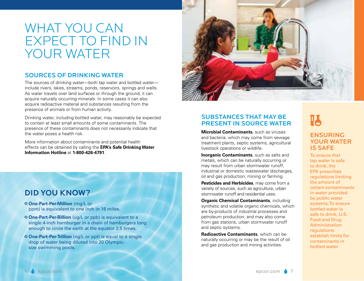# WHAT YOU CAN EXPECT TO FIND IN YOUR WATER

### SOURCES OF DRINKING WATER

The sources of drinking water—both tap water and bottled water include rivers, lakes, streams, ponds, reservoirs, springs and wells. As water travels over land surfaces or through the ground, it can acquire naturally occurring minerals. In some cases it can also acquire radioactive material and substances resulting from the presence of animals or from human activity.

Drinking water, including bottled water, may reasonably be expected to contain at least small amounts of some contaminants. The presence of these contaminants does not necessarily indicate that the water poses a health risk.

More information about contaminants and potential health effects can be obtained by calling the **EPA's Safe Drinking Water Information Hotline** at **1-800-426-4791**.

# DID YOU KNOW?

- y **One-Part-Per-Million** (mg/L or ppm) is equivalent to one inch in 16 miles.
- **O** One-Part-Per-Billion (ug/L or ppb) is equivalent to a single 4-inch hamburger in a chain of hamburgers long enough to circle the earth at the equator 2.5 times.
- **O One-Part-Per-Trillion** (ng/L or ppt) is equal to a single drop of water being diluted into 20 Olympicsize swimming pools.



# SUBSTANCES THAT MAY BE PRESENT IN SOURCE WATER

**Microbial Contaminants**, such as viruses and bacteria, which may come from sewage treatment plants, septic systems, agricultural livestock operations or wildlife.

**Inorganic Contaminants**, such as salts and metals, which can be naturally occurring or may result from urban stormwater runoff, industrial or domestic wastewater discharges, oil and gas production, mining or farming.

**Pesticides and Herbicides**, may come from a variety of sources, such as agriculture, urban stormwater runoff and residential uses.

**Organic Chemical Contaminants**, including synthetic and volatile organic chemicals, which are by-products of industrial processes and petroleum production, and may also come from gas stations, urban stormwater runoff and septic systems.

**Radioactive Contaminants**, which can be naturally occurring or may be the result of oil and gas production and mining activities.

# **V3** ENSURING YOUR WATER IS SAFE

To ensure that tap water is safe to drink, the EPA prescribes regulations limiting the amount of certain contaminants in water provided by public water systems. To ensure bottled water is safe to drink, U.S. Food and Drug Administration regulations establish limits for contaminants in bottled water.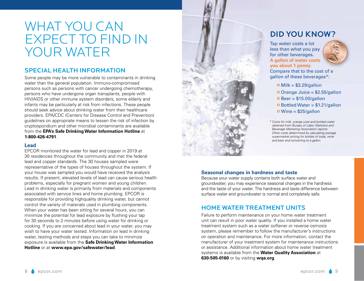# WHAT YOU CAN EXPECT TO FIND IN YOUR WATER

# SPECIAL HEALTH INFORMATION

Some people may be more vulnerable to contaminants in drinking water than the general population. Immuno-compromised persons such as persons with cancer undergoing chemotherapy, persons who have undergone organ transplants, people with HIV/AIDS or other immune system disorders, some elderly and infants may be particularly at risk from infections. These people should seek advice about drinking water from their healthcare providers. EPA/CDC (Centers for Disease Control and Prevention) guidelines on appropriate means to lessen the risk of infection by cryptosporidium and other microbial contaminants are available from the **EPA's Safe Drinking Water Information Hotline** at **1-800-426-4791**.

#### **Lead**

EPCOR monitored the water for lead and copper in 2019 at 30 residences throughout the community and met the federal lead and copper standards. The 30 houses sampled were representative of the types of houses throughout the system. If your house was sampled you would have received the analysis results. If present, elevated levels of lead can cause serious health problems, especially for pregnant women and young children. Lead in drinking water is primarily from materials and components associated with service lines and home plumbing. EPCOR is responsible for providing highquality drinking water, but cannot control the variety of materials used in plumbing components. When your water has been sitting for several hours, you can minimize the potential for lead exposure by flushing your tap for 30 seconds to 2 minutes before using water for drinking or cooking. If you are concerned about lead in your water, you may wish to have your water tested. Information on lead in drinking water, testing methods and steps you can take to minimize exposure is available from the **Safe Drinking Water Information Hotline** or at **www.epa.gov/safewater/lead**.



# DID YOU KNOW?

Tap water costs a lot less than what you pay for other beverages. **A gallon of water costs you about 1 penny.**



Compare that to the cost of a gallon of these beverages\*:

 $\bullet$  Milk = \$3.29/gallon

 $O$  Orange Juice = \$2.55/gallon

- $O$  Beer = \$15.00/gallon
- $\bullet$  Bottled Water = \$1.21/gallon
- $\bullet$  Wine = \$25/gallon
- *\* Costs for milk, orange juice and bottled water obtained from Bureau of Labor Statistics and Beverage Marketing Association reports. Other costs determined by calculating average supermarket pricing for bottles of soda, wine and beer and converting to a gallon.*

#### **Seasonal changes in hardness and taste**

Because your water supply contains both surface water and groundwater, you may experience seasonal changes in the hardness and the taste of your water. The hardness and taste difference between surface water and groundwater is normal and completely safe.

# HOME WATER TREATMENT UNITS

Failure to perform maintenance on your home water treatment unit can result in poor water quality. If you installed a home water treatment system such as a water softener or reverse osmosis system, please remember to follow the manufacturer's instructions on operation and maintenance. For more information, contact the manufacturer of your treatment system for maintenance instructions or assistance. Additional information about home water treatment systems is available from the **Water Quality Association** at **630-505-0160** or by visiting **wqa.org**.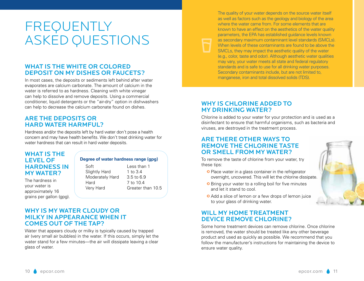# FREQUENTLY ASKED QUESTIONS

# WHAT IS THE WHITE OR COLORED DEPOSIT ON MY DISHES OR FAUCETS?

In most cases, the deposits or sediments left behind after water evaporates are calcium carbonate. The amount of calcium in the water is referred to as hardness. Cleaning with white vinegar can help to dissolve and remove deposits. Using a commercial conditioner, liquid detergents or the "air-dry" option in dishwashers can help to decrease the calcium carbonate found on dishes.

## ARE THE DEPOSITS OR HARD WATER HARMFUL?

Hardness and/or the deposits left by hard water don't pose a health concern and may have health benefits. We don't treat drinking water for water hardness that can result in hard water deposits.

### WHAT IS THE LEVEL OF HARDNESS IN MY WATER?

The hardness in your water is approximately 16 grains per gallon (gpg).

#### **Degree of water hardness range (gpg)**

Soft Less than 1 Slightly Hard 1 to 3.4 Moderately Hard 3.5 to 6.9 Hard 7 to 10.4 Very Hard Greater than 10.5

WHY IS MY WATER CLOUDY OR MILKY IN APPEARANCE WHEN IT COMES OUT OF THE TAP?

Water that appears cloudy or milky is typically caused by trapped air (very small air bubbles) in the water. If this occurs, simply let the water stand for a few minutes—the air will dissipate leaving a clear glass of water.

The quality of your water depends on the source water itself as well as factors such as the geology and biology of the area where the water came from. For some elements that are known to have an effect on the aesthetics of the water quality parameters, the EPA has established guidance levels known as secondary maximum contaminant level standards (SMCLs). When levels of these contaminants are found to be above the SMCLs, they may impact the aesthetic quality of the water (e.g., color, taste and odor). Although aesthetic water qualities may vary, your water meets all state and federal regulatory standards and is safe to use for all drinking water purposes. Secondary contaminants include, but are not limited to, manganese, iron and total dissolved solids (TDS).

# WHY IS CHLORINE ADDED TO MY DRINKING WATER?

Chlorine is added to your water for your protection and is used as a disinfectant to ensure that harmful organisms, such as bacteria and viruses, are destroyed in the treatment process.

### ARE THERE OTHER WAYS TO REMOVE THE CHLORINE TASTE OR SMELL FROM MY WATER?

To remove the taste of chlorine from your water, try these tips:

- **O** Place water in a glass container in the refrigerator overnight, uncovered. This will let the chlorine dissipate.
- **O** Bring your water to a rolling boil for five minutes and let it stand to cool.
- **O** Add a slice of lemon or a few drops of lemon juice to your glass of drinking water.

## WILL MY HOME TREATMENT DEVICE REMOVE CHLORINE?

Some home treatment devices can remove chlorine. Once chlorine is removed, the water should be treated like any other beverage product and used as quickly as possible. We recommend that you follow the manufacturer's instructions for maintaining the device to ensure water quality.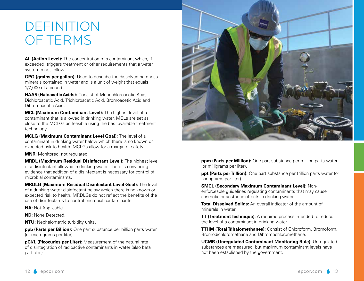# DEFINITION OF TERMS

**AL (Action Level):** The concentration of a contaminant which, if exceeded, triggers treatment or other requirements that a water system must follow.

**GPG (grains per gallon):** Used to describe the dissolved hardness minerals contained in water and is a unit of weight that equals 1/7,000 of a pound.

**HAA5 (Haloacetic Acids):** Consist of Monochloroacetic Acid, Dichloroacetic Acid, Trichloroacetic Acid, Bromoacetic Acid and Dibromoacetic Acid.

**MCL (Maximum Contaminant Level):** The highest level of a contaminant that is allowed in drinking water. MCLs are set as close to the MCLGs as feasible using the best available treatment technology.

**MCLG (Maximum Contaminant Level Goal):** The level of a contaminant in drinking water below which there is no known or expected risk to health. MCLGs allow for a margin of safety.

**MNR:** Monitored, not regulated.

**MRDL (Maximum Residual Disinfectant Level):** The highest level of a disinfectant allowed in drinking water. There is convincing evidence that addition of a disinfectant is necessary for control of microbial contaminants.

**MRDLG (Maximum Residual Disinfectant Level Goal):** The level of a drinking water disinfectant below which there is no known or expected risk to health. MRDLGs do not reflect the benefits of the use of disinfectants to control microbial contaminants.

**NA: Not Applicable.** 

**ND:** None Detected.

**NTU:** Nephelometric turbidity units.

**ppb (Parts per Billion):** One part substance per billion parts water (or micrograms per liter).

**pCi/L (Picocuries per Liter):** Measurement of the natural rate of disintegration of radioactive contaminants in water (also beta particles).



**ppm (Parts per Million):** One part substance per million parts water (or milligrams per liter).

**ppt (Parts per Trillion):** One part substance per trillion parts water (or nanograms per liter).

**SMCL (Secondary Maximum Contaminant Level):** Nonenforceable guidelines regulating contaminants that may cause cosmetic or aesthetic effects in drinking water.

**Total Dissolved Solids:** An overall indicator of the amount of minerals in water.

**TT (Treatment Technique):** A required process intended to reduce the level of a contaminant in drinking water.

**TTHM (Total Trihalomethanes):** Consist of Chloroform, Bromoform, Bromodichloromethane and Dibromochloromethane.

**UCMR (Unregulated Contaminant Monitoring Rule):** Unregulated substances are measured, but maximum contaminant levels have not been established by the government.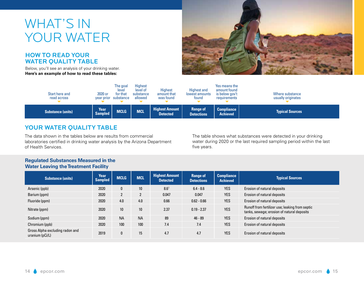# WHAT'S IN YOUR WATER

### HOW TO READ YOUR WATER QUALITY TABLE

Below, you'll see an analysis of your drinking water. **Here's an example of how to read these tables:**



| Start here and<br>read across | 2020 or<br>year prior  | The goal<br>level<br>for that<br>substance | <b>Highest</b><br>level of<br>substance<br>allowed | <b>Highest</b><br>amount that<br>was found | <b>Highest and</b><br>lowest amounts<br>tound | Yes means the<br>amount found<br>is below gov't<br>requirements | Where substance<br>usually originates |
|-------------------------------|------------------------|--------------------------------------------|----------------------------------------------------|--------------------------------------------|-----------------------------------------------|-----------------------------------------------------------------|---------------------------------------|
| <b>Substance (units)</b>      | Year<br><b>Sampled</b> | <b>MCLG</b>                                | <b>MCL</b>                                         | <b>Highest Amount</b><br><b>Detected</b>   | <b>Range of</b><br><b>Detections</b>          | Compliance <sup>1</sup><br><b>Achieved</b>                      | <b>Typical Sources</b>                |

# YOUR WATER QUALITY TABLE

The data shown in the tables below are results from commercial laboratories certified in drinking water analysis by the Arizona Department of Health Services.

The table shows what substances were detected in your drinking water during 2020 or the last required sampling period within the last five years.

#### **Regulated Substances Measured in the Water Leaving the Treatment Facility**

| <b>Substance (units)</b>                           | Year<br><b>Sampled</b> | <b>MCLG</b>  | <b>MCL</b>       | <b>Highest Amount</b><br><b>Detected</b> | <b>Range of</b><br><b>Detections</b> | <b>Compliance</b><br><b>Achieved</b> | <b>Typical Sources</b>                                                                        |
|----------------------------------------------------|------------------------|--------------|------------------|------------------------------------------|--------------------------------------|--------------------------------------|-----------------------------------------------------------------------------------------------|
| Arsenic (ppb)                                      | 2020                   | $\mathbf{0}$ | 10 <sup>10</sup> | 8.6 <sup>1</sup>                         | $6.4 - 8.6$                          | <b>YES</b>                           | Erosion of natural deposits                                                                   |
| Barium (ppm)                                       | 2020                   | $\mathbf{2}$ | $\overline{2}$   | 0.047                                    | 0.047                                | <b>YES</b>                           | Erosion of natural deposits                                                                   |
| Fluoride (ppm)                                     | 2020                   | 4.0          | 4.0              | 0.66                                     | $0.62 - 0.66$                        | <b>YES</b>                           | Erosion of natural deposits                                                                   |
| Nitrate (ppm)                                      | 2020                   | 10           | 10               | 2.37                                     | $0.19 - 2.37$                        | <b>YES</b>                           | Runoff from fertilizer use; leaking from septic<br>tanks, sewage; erosion of natural deposits |
| Sodium (ppm)                                       | 2020                   | <b>NA</b>    | <b>NA</b>        | 89                                       | $46 - 89$                            | <b>YES</b>                           | Erosion of natural deposits                                                                   |
| Chromium (ppb)                                     | 2020                   | 100          | 100              | 7.4                                      | 7.4                                  | <b>YES</b>                           | Erosion of natural deposits                                                                   |
| Gross Alpha excluding radon and<br>uranium (pCi/L) | 2019                   | $\mathbf{0}$ | 15               | 4.7                                      | 4.7                                  | <b>YES</b>                           | Erosion of natural deposits                                                                   |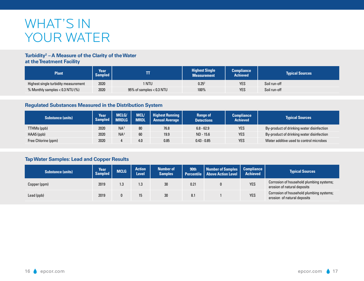# WHAT'S IN YOUR WATER

#### **Turbidity2 – A Measure of the Clarity of the Water at the Treatment Facility**

| <b>Plant</b>                         | Year<br><b>Sampled</b> |                               | <b>Highest Single</b><br><b>Measurement</b> | <b>Compliance</b><br><b>Achieved</b> | <b>Typical Sources</b> |
|--------------------------------------|------------------------|-------------------------------|---------------------------------------------|--------------------------------------|------------------------|
| Highest single turbidity measurement | 2020                   | 1 NTU                         | 0.25 <sup>2</sup>                           | <b>YES</b>                           | Soil run-off           |
| % Monthly samples $<$ 0.3 NTU (%)    | 2020                   | $95\%$ of samples $< 0.3$ NTU | 100%                                        | <b>YES</b>                           | Soil run-off           |

#### **Regulated Substances Measured in the Distribution System**

| <b>Substance (units)</b> | <b>Year</b><br><b>Sampled</b> | MCLG/<br><b>MRDLG</b> | MCL/<br><b>MRDL</b> | <b>Highest Running</b><br><b>Annual Average</b> | <b>Range of</b><br><b>Detections</b> | Compliance<br><b>Achieved</b> | <b>Typical Sources</b>                    |
|--------------------------|-------------------------------|-----------------------|---------------------|-------------------------------------------------|--------------------------------------|-------------------------------|-------------------------------------------|
| TTHMs (ppb)              | 2020                          | $NA^3$                | 80                  | 76.8                                            | $6.8 - 62.9$                         | <b>YES</b>                    | By-product of drinking water disinfection |
| $HAA5$ (ppb)             | 2020                          | $NA^3$                | 60                  | 19.9                                            | ND - 15.6                            | <b>YES</b>                    | By-product of drinking water disinfection |
| Free Chlorine (ppm)      | 2020                          |                       | 4.0                 | 0.85                                            | $0.43 - 0.85$                        | <b>YES</b>                    | Water additive used to control microbes   |

# **Tap Water Samples: Lead and Copper Results**

| <b>Substance (units)</b> | Year<br><b>Sampled</b> | <b>MCLG</b> | <b>Action</b><br>Level | <b>Number of</b><br><b>Samples</b> | 90th | Number of Samples<br>Percentile   Above Action Level | <b>Compliance</b><br><b>Achieved</b> | <b>Typical Sources</b>                                                  |
|--------------------------|------------------------|-------------|------------------------|------------------------------------|------|------------------------------------------------------|--------------------------------------|-------------------------------------------------------------------------|
| Copper (ppm)             | 2019                   | 1.3         | 1.3                    | 30                                 | 0.21 |                                                      | <b>YES</b>                           | Corrosion of household plumbing systems;<br>erosion of natural deposits |
| Lead (ppb)               | 2019                   |             | 15                     | 30                                 | 8.1  |                                                      | <b>YES</b>                           | Corrosion of household plumbing systems;<br>erosion of natural deposits |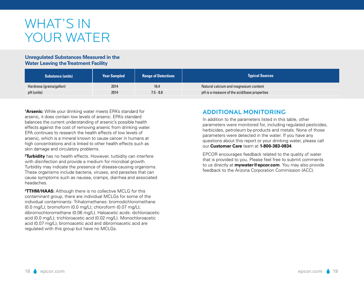# WHAT'S IN YOUR WATER

#### **Unregulated Substances Measured in the Water Leaving the Treatment Facility**

| <b>Substance (units)</b> | <b>Year Sampled</b> | <b>Range of Detections</b> | <b>Typical Sources</b>                      |
|--------------------------|---------------------|----------------------------|---------------------------------------------|
| Hardness (grains/gallon) | 2014                | 16.4                       | Natural calcium and magnesium content       |
| pH (units)               | 2014                | $7.5 - 8.8$                | pH is a measure of the acid/base properties |

**1 Arsenic:** While your drinking water meets EPA's standard for arsenic, it does contain low levels of arsenic. EPA's standard balances the current understanding of arsenic's possible health effects against the cost of removing arsenic from drinking water. EPA continues to research the health effects of low levels of arsenic, which is a mineral known to cause cancer in humans at high concentrations and is linked to other health effects such as skin damage and circulatory problems.

**2 Turbidity** has no health effects. However, turbidity can interfere with disinfection and provide a medium for microbial growth. Turbidity may indicate the presence of disease-causing organisms. These organisms include bacteria, viruses, and parasites that can cause symptoms such as nausea, cramps, diarrhea and associated headaches.

**3 TTHM/HAA5:** Although there is no collective MCLG for this contaminant group, there are individual MCLGs for some of the individual contaminants: Trihalomethanes: bromodichloromethane (0.0 mg/L); bromoform (0.0 mg/L); chloroform (0.07 mg/L); dibromochloromethane (0.06 mg/L). Haloacetic acids: dichloroacetic acid (0.0 mg/L); trichloroacetic acid (0.02 mg/L). Monochloroacetic acid (0.07 mg/L), bromoacetic acid and dibromoacetic acid are regulated with this group but have no MCLGs.

# Additional monitoring

In addition to the parameters listed in this table, other parameters were monitored for, including regulated pesticides, herbicides, petroleum by-products and metals. None of those parameters were detected in the water. If you have any questions about this report or your drinking water, please call our **Customer Care** team at **1-800-383-0834**.

EPCOR encourages feedback related to the quality of water that is provided to you. Please feel free to submit comments to us directly at **mywater@epcor.com**. You may also provide feedback to the Arizona Corporation Commission (ACC).